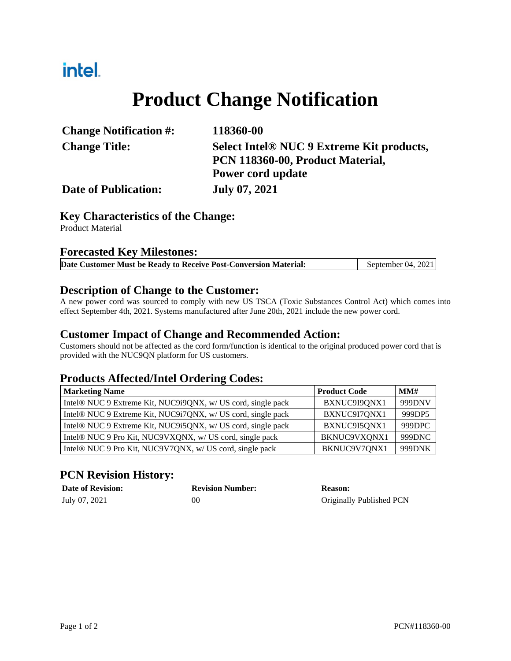### intel.

# **Product Change Notification**

| <b>Change Notification #:</b> | 118360-00                                 |  |
|-------------------------------|-------------------------------------------|--|
| <b>Change Title:</b>          | Select Intel® NUC 9 Extreme Kit products, |  |
|                               | PCN 118360-00, Product Material,          |  |
|                               | Power cord update                         |  |
| <b>Date of Publication:</b>   | <b>July 07, 2021</b>                      |  |

#### **Key Characteristics of the Change:**

Product Material

#### **Forecasted Key Milestones:**

|  | Date Customer Must be Ready to Receive Post-Conversion Material: | September 04, 2021 |
|--|------------------------------------------------------------------|--------------------|
|  |                                                                  |                    |

#### **Description of Change to the Customer:**

A new power cord was sourced to comply with new US TSCA (Toxic Substances Control Act) which comes into effect September 4th, 2021. Systems manufactured after June 20th, 2021 include the new power cord.

#### **Customer Impact of Change and Recommended Action:**

Customers should not be affected as the cord form/function is identical to the original produced power cord that is provided with the NUC9QN platform for US customers.

#### **Products Affected/Intel Ordering Codes:**

| <b>Marketing Name</b>                                        | <b>Product Code</b> | MMH    |
|--------------------------------------------------------------|---------------------|--------|
| Intel® NUC 9 Extreme Kit, NUC9i9QNX, w/ US cord, single pack | BXNUC9I9QNX1        | 999DNV |
| Intel® NUC 9 Extreme Kit, NUC9i7QNX, w/ US cord, single pack | BXNUC9I7QNX1        | 999DP5 |
| Intel® NUC 9 Extreme Kit, NUC9i5QNX, w/ US cord, single pack | BXNUC9I5QNX1        | 999DPC |
| Intel® NUC 9 Pro Kit, NUC9VXQNX, w/ US cord, single pack     | BKNUC9VXQNX1        | 999DNC |
| Intel® NUC 9 Pro Kit, NUC9V7QNX, w/ US cord, single pack     | BKNUC9V7QNX1        | 999DNK |

### **PCN Revision History:**

| <b>Date of Revision:</b> | <b>Revision Number:</b> | <b>Reason:</b>           |
|--------------------------|-------------------------|--------------------------|
| July 07, 2021            | 00                      | Originally Published PCN |